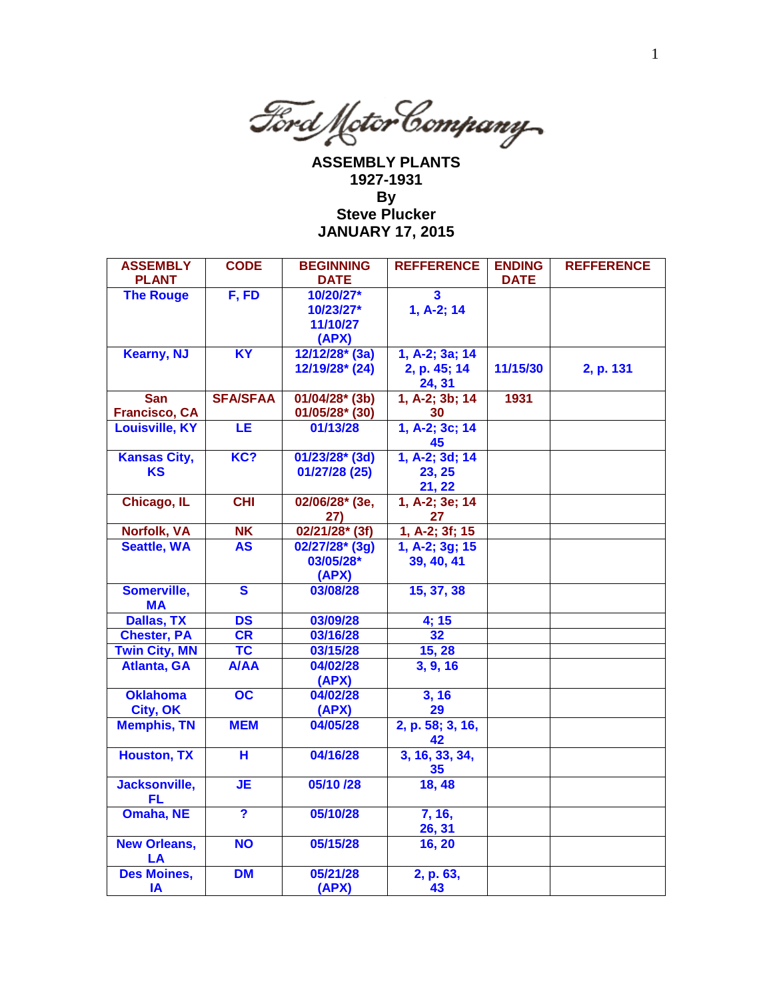

**ASSEMBLY PLANTS 1927-1931 By Steve Plucker JANUARY 17, 2015**

| <b>ASSEMBLY</b><br><b>PLANT</b> | <b>CODE</b>             | <b>BEGINNING</b><br><b>DATE</b> | <b>REFFERENCE</b>      | <b>ENDING</b><br><b>DATE</b> | <b>REFFERENCE</b> |
|---------------------------------|-------------------------|---------------------------------|------------------------|------------------------------|-------------------|
| <b>The Rouge</b>                | F, FD                   | 10/20/27*                       | 3                      |                              |                   |
|                                 |                         | 10/23/27*                       | 1, A-2; 14             |                              |                   |
|                                 |                         | 11/10/27                        |                        |                              |                   |
|                                 |                         | (APX)                           |                        |                              |                   |
| <b>Kearny, NJ</b>               | $\overline{XY}$         | 12/12/28* (3a)                  | 1, A-2; 3a; 14         |                              |                   |
|                                 |                         | 12/19/28* (24)                  | 2, p. 45; 14           | 11/15/30                     | 2, p. 131         |
|                                 |                         |                                 | 24, 31                 |                              |                   |
| <b>San</b>                      | <b>SFA/SFAA</b>         | 01/04/28* (3b)                  | 1, A-2; 3b; 14         | 1931                         |                   |
| <b>Francisco, CA</b>            |                         | 01/05/28* (30)                  | 30                     |                              |                   |
| <b>Louisville, KY</b>           | LE                      | 01/13/28                        | 1, A-2; 3c; 14<br>45   |                              |                   |
| <b>Kansas City,</b>             | KC?                     | $01/23/28$ <sup>*</sup> (3d)    | 1, A-2; 3d; 14         |                              |                   |
| <b>KS</b>                       |                         | 01/27/28 (25)                   | 23, 25                 |                              |                   |
|                                 |                         |                                 | 21, 22                 |                              |                   |
| Chicago, IL                     | CHI                     | 02/06/28* (3e,                  | 1, A-2; 3e; 14         |                              |                   |
|                                 |                         | 27)                             | 27                     |                              |                   |
| Norfolk, VA                     | <b>NK</b>               | $02/21/28$ <sup>*</sup> (3f)    | 1, A-2; 3f; 15         |                              |                   |
| <b>Seattle, WA</b>              | <b>AS</b>               | 02/27/28* (3g)                  | $1, A-2; 3g; 15$       |                              |                   |
|                                 |                         | 03/05/28*                       | 39, 40, 41             |                              |                   |
|                                 |                         | (APX)                           |                        |                              |                   |
| Somerville,<br><b>MA</b>        | $\overline{\mathbf{s}}$ | 03/08/28                        | 15, 37, 38             |                              |                   |
| <b>Dallas, TX</b>               | <b>DS</b>               | 03/09/28                        | 4; 15                  |                              |                   |
| <b>Chester, PA</b>              | CR                      | 03/16/28                        | 32                     |                              |                   |
| <b>Twin City, MN</b>            | <b>TC</b>               | 03/15/28                        | 15, 28                 |                              |                   |
| <b>Atlanta, GA</b>              | <b>A/AA</b>             | 04/02/28                        | 3, 9, 16               |                              |                   |
|                                 |                         | (APX)                           |                        |                              |                   |
| <b>Oklahoma</b>                 | $\overline{OC}$         | 04/02/28                        | 3, 16                  |                              |                   |
| City, OK                        |                         | (APX)                           | 29                     |                              |                   |
| <b>Memphis, TN</b>              | <b>MEM</b>              | 04/05/28                        | 2, p. 58; 3, 16,<br>42 |                              |                   |
| <b>Houston, TX</b>              | Ή                       | 04/16/28                        | 3, 16, 33, 34,         |                              |                   |
|                                 |                         |                                 | 35                     |                              |                   |
| Jacksonville,                   | <b>JE</b>               | 05/10 /28                       | 18, 48                 |                              |                   |
| <b>FL</b>                       |                         |                                 |                        |                              |                   |
| <b>Omaha, NE</b>                | ?                       | 05/10/28                        | 7, 16,                 |                              |                   |
|                                 |                         |                                 | 26, 31                 |                              |                   |
| <b>New Orleans,</b>             | <b>NO</b>               | 05/15/28                        | 16, 20                 |                              |                   |
| LA                              | <b>DM</b>               | 05/21/28                        |                        |                              |                   |
| <b>Des Moines,</b>              |                         |                                 | 2, p. 63,              |                              |                   |
| IA                              |                         | (APX)                           | 43                     |                              |                   |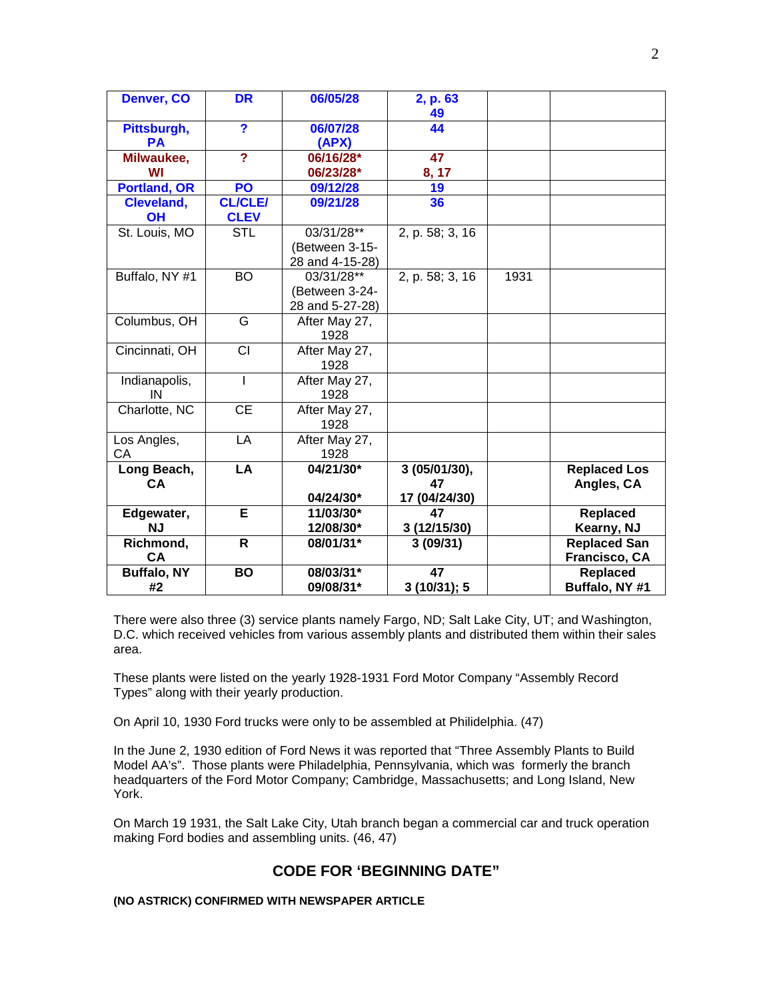| Denver, CO          | <b>DR</b>                     | 06/05/28              | 2, p. 63        |      |                     |
|---------------------|-------------------------------|-----------------------|-----------------|------|---------------------|
| Pittsburgh,         | ?                             | 06/07/28              | 49<br>44        |      |                     |
| <b>PA</b>           |                               | (APX)                 |                 |      |                     |
| Milwaukee,          | $\overline{?}$                | 06/16/28*             | 47              |      |                     |
| WI                  |                               | 06/23/28*             | 8, 17           |      |                     |
| <b>Portland, OR</b> | PO                            | 09/12/28              | 19              |      |                     |
| Cleveland,<br>OH    | <b>CL/CLE/</b><br><b>CLEV</b> | 09/21/28              | 36              |      |                     |
| St. Louis, MO       | <b>STL</b>                    | 03/31/28**            | 2, p. 58; 3, 16 |      |                     |
|                     |                               | (Between 3-15-        |                 |      |                     |
|                     |                               | 28 and 4-15-28)       |                 |      |                     |
| Buffalo, NY #1      | <b>BO</b>                     | 03/31/28**            | 2, p. 58; 3, 16 | 1931 |                     |
|                     |                               | (Between 3-24-        |                 |      |                     |
|                     |                               | 28 and 5-27-28)       |                 |      |                     |
| Columbus, OH        | G                             | After May 27,         |                 |      |                     |
|                     |                               | 1928                  |                 |      |                     |
| Cincinnati, OH      | CI                            | After May 27,         |                 |      |                     |
|                     |                               | 1928                  |                 |      |                     |
| Indianapolis,<br>IN | $\overline{1}$                | After May 27,<br>1928 |                 |      |                     |
| Charlotte, NC       | <b>CE</b>                     | After May 27,         |                 |      |                     |
|                     |                               | 1928                  |                 |      |                     |
| Los Angles,         | LA                            | After May 27,         |                 |      |                     |
| CA                  |                               | 1928                  |                 |      |                     |
| Long Beach,         | LA                            | 04/21/30*             | 3 (05/01/30),   |      | <b>Replaced Los</b> |
| CA                  |                               |                       | 47              |      | Angles, CA          |
|                     |                               | 04/24/30*             | 17 (04/24/30)   |      |                     |
| Edgewater,          | Е                             | 11/03/30*             | 47              |      | Replaced            |
| <b>NJ</b>           |                               | 12/08/30*             | 3(12/15/30)     |      | Kearny, NJ          |
| Richmond,           | R                             | 08/01/31*             | 3(09/31)        |      | <b>Replaced San</b> |
| <b>CA</b>           |                               |                       |                 |      | Francisco, CA       |
| <b>Buffalo, NY</b>  | <b>BO</b>                     | 08/03/31*             | 47              |      | <b>Replaced</b>     |
| #2                  |                               | 09/08/31*             | 3 (10/31); 5    |      | Buffalo, NY #1      |

There were also three (3) service plants namely Fargo, ND; Salt Lake City, UT; and Washington, D.C. which received vehicles from various assembly plants and distributed them within their sales area.

These plants were listed on the yearly 1928-1931 Ford Motor Company "Assembly Record Types" along with their yearly production.

On April 10, 1930 Ford trucks were only to be assembled at Philidelphia. (47)

In the June 2, 1930 edition of Ford News it was reported that "Three Assembly Plants to Build Model AA's". Those plants were Philadelphia, Pennsylvania, which was formerly the branch headquarters of the Ford Motor Company; Cambridge, Massachusetts; and Long Island, New York.

On March 19 1931, the Salt Lake City, Utah branch began a commercial car and truck operation making Ford bodies and assembling units. (46, 47)

# **CODE FOR 'BEGINNING DATE"**

#### **(NO ASTRICK) CONFIRMED WITH NEWSPAPER ARTICLE**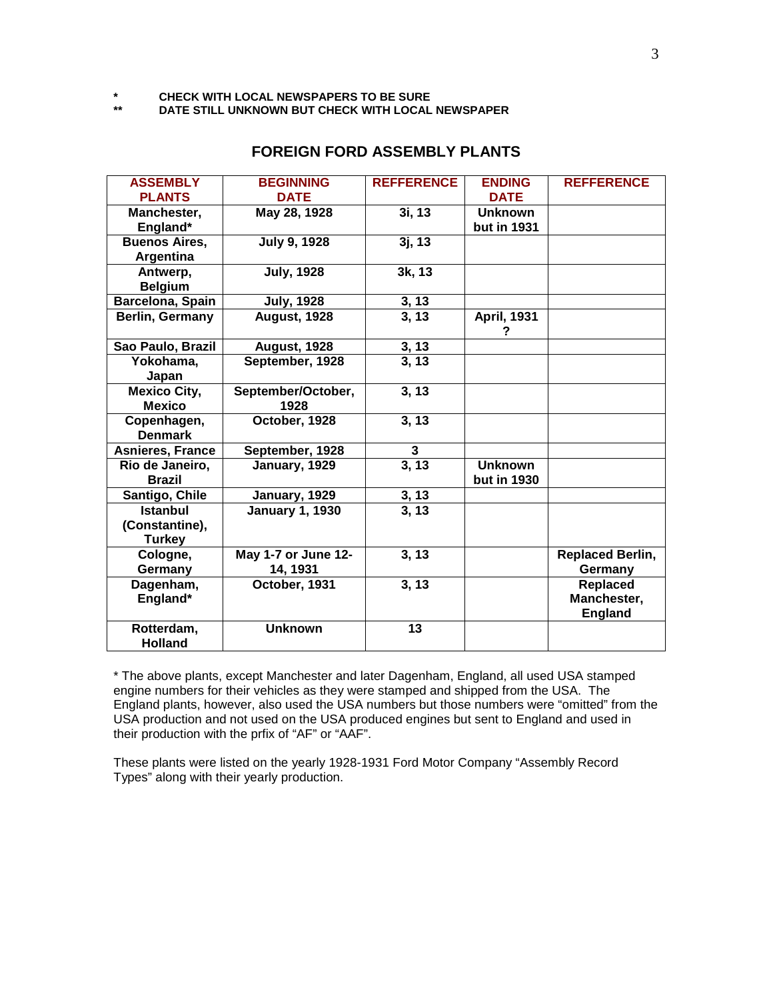**\* CHECK WITH LOCAL NEWSPAPERS TO BE SURE**

**\*\* DATE STILL UNKNOWN BUT CHECK WITH LOCAL NEWSPAPER**

| <b>ASSEMBLY</b><br><b>PLANTS</b>                   | <b>BEGINNING</b><br><b>DATE</b> | <b>REFFERENCE</b>     | <b>ENDING</b><br><b>DATE</b>  | <b>REFFERENCE</b>                         |
|----------------------------------------------------|---------------------------------|-----------------------|-------------------------------|-------------------------------------------|
| Manchester,<br>England*                            | May 28, 1928                    | 3i, 13                | <b>Unknown</b><br>but in 1931 |                                           |
| <b>Buenos Aires,</b><br>Argentina                  | <b>July 9, 1928</b>             | 3j, 13                |                               |                                           |
| Antwerp,<br><b>Belgium</b>                         | <b>July, 1928</b>               | 3k, 13                |                               |                                           |
| Barcelona, Spain                                   | <b>July, 1928</b>               | $\frac{3, 13}{3, 13}$ |                               |                                           |
| <b>Berlin, Germany</b>                             | <b>August, 1928</b>             |                       | <b>April, 1931</b><br>?       |                                           |
| Sao Paulo, Brazil                                  | August, 1928                    | $\frac{3, 13}{3, 13}$ |                               |                                           |
| Yokohama,<br>Japan                                 | September, 1928                 |                       |                               |                                           |
| <b>Mexico City,</b><br><b>Mexico</b>               | September/October,<br>1928      | 3, 13                 |                               |                                           |
| Copenhagen,<br><b>Denmark</b>                      | October, 1928                   | 3, 13                 |                               |                                           |
| Asnieres, France                                   | September, 1928                 | 3                     |                               |                                           |
| Rio de Janeiro,<br><b>Brazil</b>                   | January, 1929                   | 3, 13                 | <b>Unknown</b><br>but in 1930 |                                           |
| Santigo, Chile                                     | January, 1929                   | $\frac{3, 13}{3, 13}$ |                               |                                           |
| <b>Istanbul</b><br>(Constantine),<br><b>Turkey</b> | <b>January 1, 1930</b>          |                       |                               |                                           |
| Cologne,<br>Germany                                | May 1-7 or June 12-<br>14, 1931 | 3, 13                 |                               | <b>Replaced Berlin,</b><br>Germany        |
| Dagenham,<br>England*                              | October, 1931                   | 3, 13                 |                               | Replaced<br>Manchester,<br><b>England</b> |
| Rotterdam,<br><b>Holland</b>                       | <b>Unknown</b>                  | 13                    |                               |                                           |

## **FOREIGN FORD ASSEMBLY PLANTS**

\* The above plants, except Manchester and later Dagenham, England, all used USA stamped engine numbers for their vehicles as they were stamped and shipped from the USA. The England plants, however, also used the USA numbers but those numbers were "omitted" from the USA production and not used on the USA produced engines but sent to England and used in their production with the prfix of "AF" or "AAF".

These plants were listed on the yearly 1928-1931 Ford Motor Company "Assembly Record Types" along with their yearly production.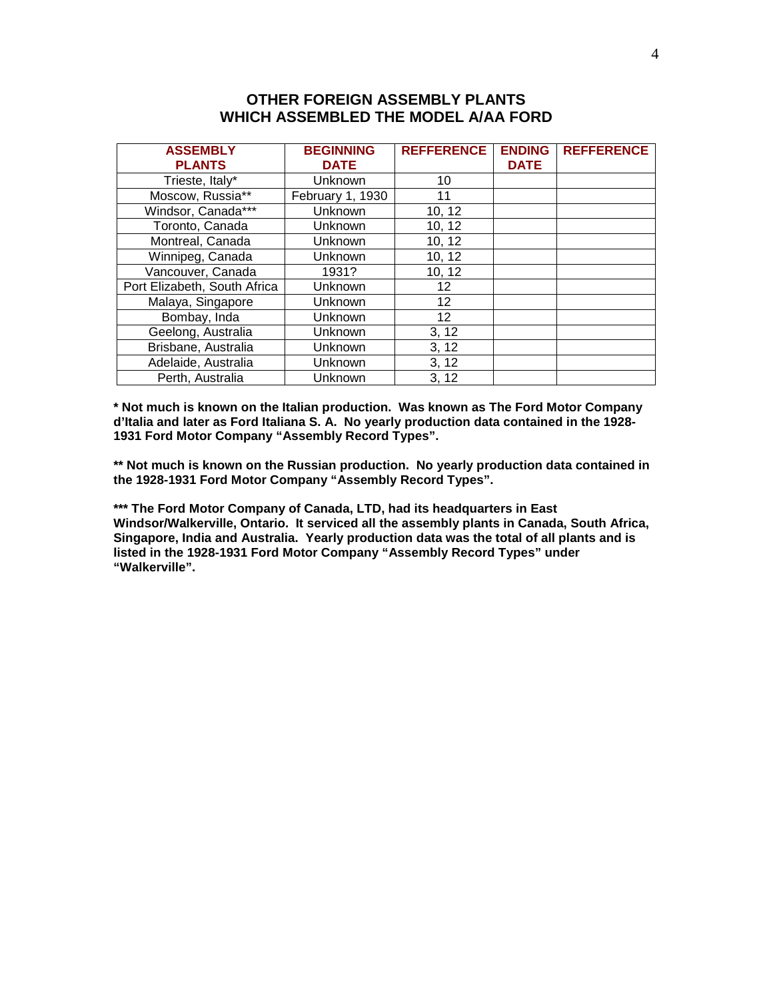# **OTHER FOREIGN ASSEMBLY PLANTS WHICH ASSEMBLED THE MODEL A/AA FORD**

| <b>ASSEMBLY</b>              | <b>BEGINNING</b> | <b>REFFERENCE</b> | <b>ENDING</b> | <b>REFFERENCE</b> |
|------------------------------|------------------|-------------------|---------------|-------------------|
| <b>PLANTS</b>                | <b>DATE</b>      |                   | <b>DATE</b>   |                   |
| Trieste, Italy*              | Unknown          | 10                |               |                   |
| Moscow, Russia**             | February 1, 1930 | 11                |               |                   |
| Windsor, Canada***           | Unknown          | 10, 12            |               |                   |
| Toronto, Canada              | Unknown          | 10, 12            |               |                   |
| Montreal, Canada             | Unknown          | 10, 12            |               |                   |
| Winnipeg, Canada             | Unknown          | 10, 12            |               |                   |
| Vancouver, Canada            | 1931?            | 10, 12            |               |                   |
| Port Elizabeth, South Africa | Unknown          | 12                |               |                   |
| Malaya, Singapore            | Unknown          | 12                |               |                   |
| Bombay, Inda                 | Unknown          | 12                |               |                   |
| Geelong, Australia           | Unknown          | 3, 12             |               |                   |
| Brisbane, Australia          | Unknown          | 3, 12             |               |                   |
| Adelaide, Australia          | Unknown          | 3, 12             |               |                   |
| Perth, Australia             | Unknown          | 3, 12             |               |                   |

**\* Not much is known on the Italian production. Was known as The Ford Motor Company d'Italia and later as Ford Italiana S. A. No yearly production data contained in the 1928- 1931 Ford Motor Company "Assembly Record Types".**

**\*\* Not much is known on the Russian production. No yearly production data contained in the 1928-1931 Ford Motor Company "Assembly Record Types".**

**\*\*\* The Ford Motor Company of Canada, LTD, had its headquarters in East Windsor/Walkerville, Ontario. It serviced all the assembly plants in Canada, South Africa, Singapore, India and Australia. Yearly production data was the total of all plants and is listed in the 1928-1931 Ford Motor Company "Assembly Record Types" under "Walkerville".**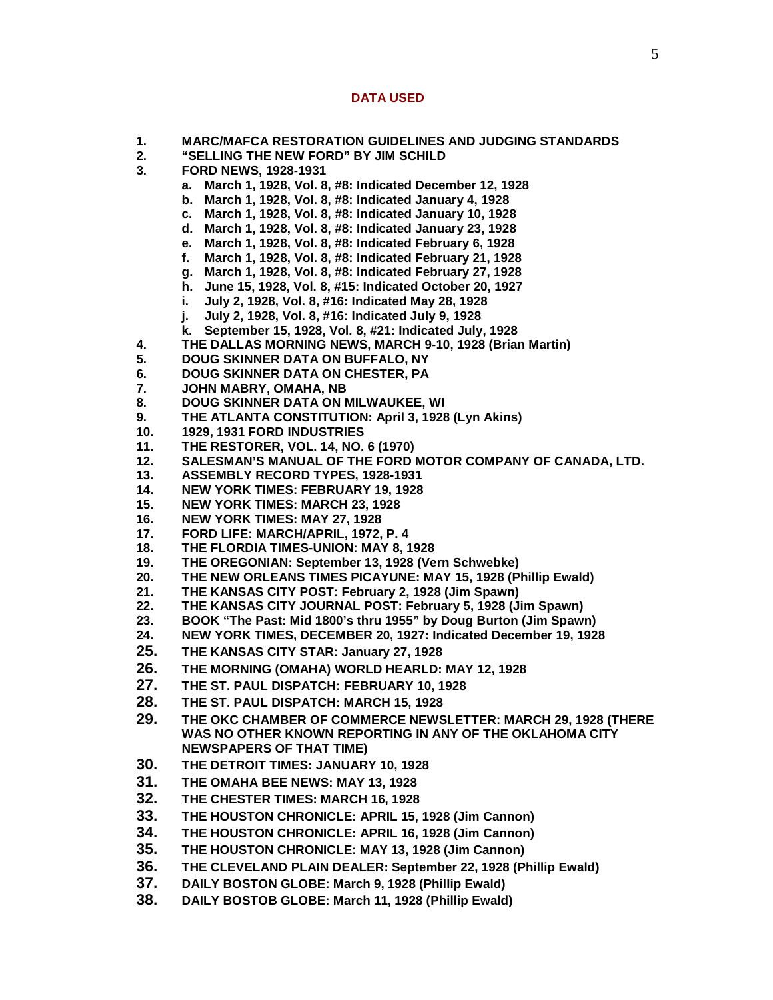### **DATA USED**

- **1. MARC/MAFCA RESTORATION GUIDELINES AND JUDGING STANDARDS**
- **2. "SELLING THE NEW FORD" BY JIM SCHILD**
- **3. FORD NEWS, 1928-1931**
	- **a. March 1, 1928, Vol. 8, #8: Indicated December 12, 1928**
	- **b. March 1, 1928, Vol. 8, #8: Indicated January 4, 1928**
	- **c. March 1, 1928, Vol. 8, #8: Indicated January 10, 1928**
	- **d. March 1, 1928, Vol. 8, #8: Indicated January 23, 1928**
	- **e. March 1, 1928, Vol. 8, #8: Indicated February 6, 1928**
	- **f. March 1, 1928, Vol. 8, #8: Indicated February 21, 1928**
	- **g. March 1, 1928, Vol. 8, #8: Indicated February 27, 1928**
	- **h. June 15, 1928, Vol. 8, #15: Indicated October 20, 1927**
	- **i. July 2, 1928, Vol. 8, #16: Indicated May 28, 1928**
	- **j. July 2, 1928, Vol. 8, #16: Indicated July 9, 1928**
	- **k. September 15, 1928, Vol. 8, #21: Indicated July, 1928**
- **4. THE DALLAS MORNING NEWS, MARCH 9-10, 1928 (Brian Martin)**
- **5. DOUG SKINNER DATA ON BUFFALO, NY**
- **6. DOUG SKINNER DATA ON CHESTER, PA**
- **7. JOHN MABRY, OMAHA, NB**
- **8. DOUG SKINNER DATA ON MILWAUKEE, WI**
- **9. THE ATLANTA CONSTITUTION: April 3, 1928 (Lyn Akins)**
- **10. 1929, 1931 FORD INDUSTRIES**
- **11. THE RESTORER, VOL. 14, NO. 6 (1970)**
- **12. SALESMAN'S MANUAL OF THE FORD MOTOR COMPANY OF CANADA, LTD.**
- **13. ASSEMBLY RECORD TYPES, 1928-1931**
- **14. NEW YORK TIMES: FEBRUARY 19, 1928**
- **15. NEW YORK TIMES: MARCH 23, 1928**
- **16. NEW YORK TIMES: MAY 27, 1928**
- **17. FORD LIFE: MARCH/APRIL, 1972, P. 4**
- **18. THE FLORDIA TIMES-UNION: MAY 8, 1928**
- **19. THE OREGONIAN: September 13, 1928 (Vern Schwebke)**
- **20. THE NEW ORLEANS TIMES PICAYUNE: MAY 15, 1928 (Phillip Ewald)**
- **21. THE KANSAS CITY POST: February 2, 1928 (Jim Spawn)**
- **22. THE KANSAS CITY JOURNAL POST: February 5, 1928 (Jim Spawn)**
- **23. BOOK "The Past: Mid 1800's thru 1955" by Doug Burton (Jim Spawn)**
- **24. NEW YORK TIMES, DECEMBER 20, 1927: Indicated December 19, 1928**
- **25. THE KANSAS CITY STAR: January 27, 1928**
- **26. THE MORNING (OMAHA) WORLD HEARLD: MAY 12, 1928**
- **27. THE ST. PAUL DISPATCH: FEBRUARY 10, 1928**
- 
- **28. THE ST. PAUL DISPATCH: MARCH 15, 1928 29. THE OKC CHAMBER OF COMMERCE NEWSLETTER: MARCH 29, 1928 (THERE WAS NO OTHER KNOWN REPORTING IN ANY OF THE OKLAHOMA CITY NEWSPAPERS OF THAT TIME)**
- **30. THE DETROIT TIMES: JANUARY 10, 1928**
- **31. THE OMAHA BEE NEWS: MAY 13, 1928**
- **32. THE CHESTER TIMES: MARCH 16, 1928**
- **33. THE HOUSTON CHRONICLE: APRIL 15, 1928 (Jim Cannon)**
- **34. THE HOUSTON CHRONICLE: APRIL 16, 1928 (Jim Cannon)**
- **35. THE HOUSTON CHRONICLE: MAY 13, 1928 (Jim Cannon)**
- **36. THE CLEVELAND PLAIN DEALER: September 22, 1928 (Phillip Ewald)**
- **37. DAILY BOSTON GLOBE: March 9, 1928 (Phillip Ewald)**
- **38. DAILY BOSTOB GLOBE: March 11, 1928 (Phillip Ewald)**